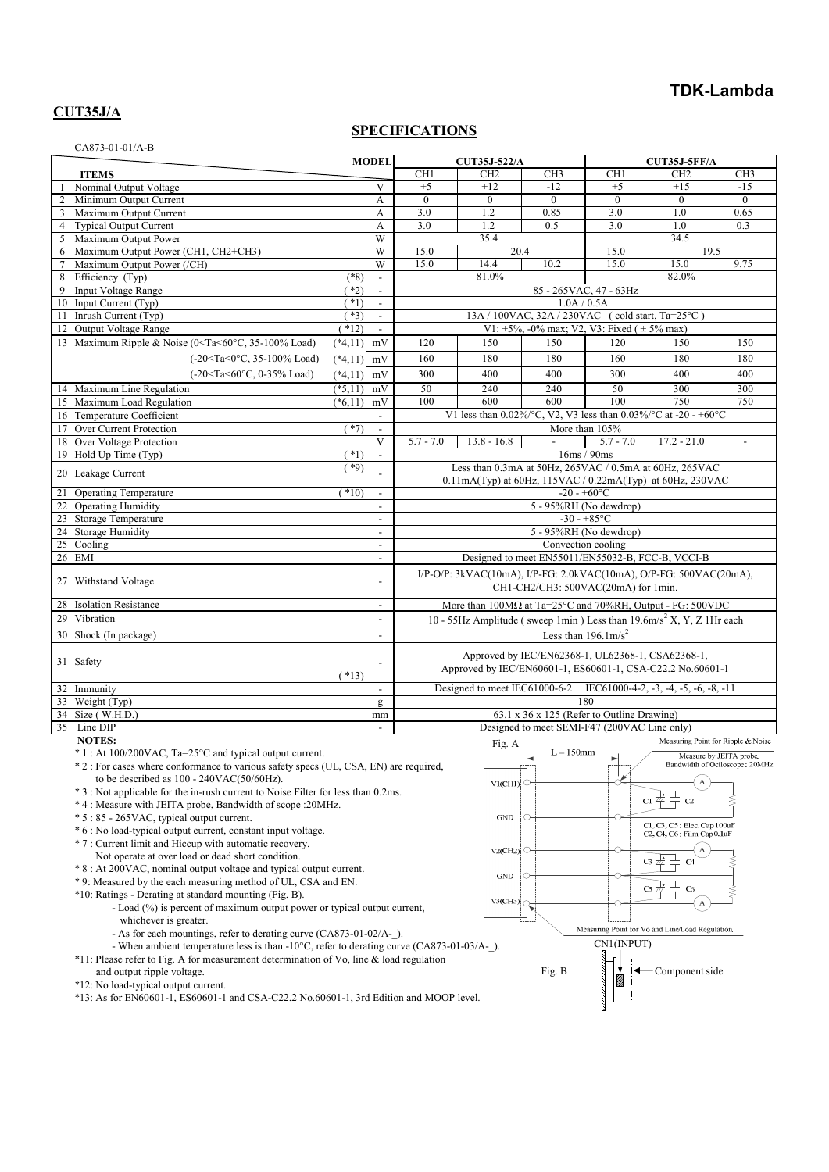# **TDK-Lambda**

## **CUT35J/A**

## **SPECIFICATIONS**

| CA873-01-01/A-B |                                                                                                               |                                                      |                                                                                                                 |                                                                                             |                                                      |                                                  |                                            |                                |  |  |
|-----------------|---------------------------------------------------------------------------------------------------------------|------------------------------------------------------|-----------------------------------------------------------------------------------------------------------------|---------------------------------------------------------------------------------------------|------------------------------------------------------|--------------------------------------------------|--------------------------------------------|--------------------------------|--|--|
|                 |                                                                                                               | <b>MODEL</b>                                         | CUT35J-522/A                                                                                                    |                                                                                             |                                                      | CUT35J-5FF/A                                     |                                            |                                |  |  |
|                 | <b>ITEMS</b><br>Nominal Output Voltage                                                                        | V                                                    | CH <sub>1</sub><br>$+5$                                                                                         | CH <sub>2</sub><br>$+12$                                                                    | CH <sub>3</sub><br>$-12$                             | CH <sub>1</sub><br>$+5$                          | CH <sub>2</sub><br>$+15$                   | CH <sub>3</sub><br>$-15$       |  |  |
| $\overline{2}$  | Minimum Output Current                                                                                        | A                                                    | $\mathbf{0}$                                                                                                    | $\boldsymbol{0}$                                                                            | $\theta$                                             | $\mathbf{0}$                                     | $\theta$                                   | $\mathbf{0}$                   |  |  |
| $\mathbf{3}$    | Maximum Output Current                                                                                        | А                                                    | 3.0                                                                                                             | 1.2                                                                                         | 0.85                                                 | 3.0                                              | 1.0                                        | 0.65                           |  |  |
| $\overline{4}$  | <b>Typical Output Current</b>                                                                                 | A                                                    | 3.0                                                                                                             | 1.2                                                                                         | 0.5                                                  | 3.0                                              | 1.0                                        | 0.3                            |  |  |
| 5               | Maximum Output Power                                                                                          | W                                                    |                                                                                                                 | 35.4                                                                                        |                                                      |                                                  | 34.5                                       |                                |  |  |
| 6               | Maximum Output Power (CH1, CH2+CH3)                                                                           | W                                                    |                                                                                                                 | 20.4<br>19.5<br>15.0<br>15.0                                                                |                                                      |                                                  |                                            |                                |  |  |
| $\tau$<br>8     | Maximum Output Power (/CH)<br>Efficiency (Typ)                                                                | W<br>$(*8)$<br>$\blacksquare$                        | 15.0                                                                                                            | 14.4<br>81.0%                                                                               | 10.2                                                 | 15.0                                             | 15.0<br>82.0%                              | 9.75                           |  |  |
| 9               | <b>Input Voltage Range</b>                                                                                    | $*2)$<br>$\overline{\phantom{a}}$                    |                                                                                                                 |                                                                                             |                                                      | 85 - 265 VAC, 47 - 63 Hz                         |                                            |                                |  |  |
|                 | 10 Input Current (Typ)                                                                                        | $*1)$<br>$\mathcal{L}$                               | 1.0A / 0.5A                                                                                                     |                                                                                             |                                                      |                                                  |                                            |                                |  |  |
| 11              | Inrush Current (Typ)                                                                                          | $*3)$<br>$\overline{\phantom{a}}$                    | 13A / 100VAC, 32A / 230VAC (cold start, Ta=25°C)                                                                |                                                                                             |                                                      |                                                  |                                            |                                |  |  |
|                 | 12 Output Voltage Range<br>$(*12)$                                                                            | $\blacksquare$                                       |                                                                                                                 |                                                                                             | V1: $+5\%$ , -0% max; V2, V3: Fixed ( $\pm 5\%$ max) |                                                  |                                            |                                |  |  |
|                 | 13 Maximum Ripple & Noise (0 <ta<60°c, 35-100%="" load)<br=""><math>(*4,11)</math></ta<60°c,>                 | mV                                                   | 120                                                                                                             | 150                                                                                         | 150                                                  | 120                                              | 150                                        | 150                            |  |  |
|                 | $(-20 < Ta < 0°C, 35-100\%$ Load)<br>$(*4,11)$                                                                | mV                                                   | 160                                                                                                             | 180                                                                                         | 180                                                  | 160                                              | 180                                        | 180                            |  |  |
|                 | (-20 <ta<60°c, 0-35%="" load)<br=""><math>(*4,11)</math></ta<60°c,>                                           | mV                                                   | 300                                                                                                             | 400                                                                                         | 400                                                  | 300                                              | 400                                        | 400                            |  |  |
|                 | 14 Maximum Line Regulation<br>$(*5,11)$                                                                       | mV                                                   | 50                                                                                                              | 240                                                                                         | 240                                                  | 50                                               | 300                                        | 300                            |  |  |
|                 | 15 Maximum Load Regulation<br>$(*6,11)$                                                                       | mV                                                   | 100                                                                                                             | 600                                                                                         | 600                                                  | 100                                              | 750                                        | 750                            |  |  |
|                 | 16 Temperature Coefficient                                                                                    | $\blacksquare$                                       |                                                                                                                 | V1 less than 0.02%/°C, V2, V3 less than 0.03%/°C at -20 - +60°C                             |                                                      |                                                  |                                            |                                |  |  |
|                 | 17 Over Current Protection<br>18 Over Voltage Protection                                                      | $(*7)$<br>$\blacksquare$<br>V                        |                                                                                                                 |                                                                                             | $\overline{\phantom{a}}$                             | More than 105%                                   |                                            |                                |  |  |
|                 | 19 Hold Up Time (Typ)                                                                                         | $*1)$<br>$\overline{\phantom{a}}$                    |                                                                                                                 | $5.7 - 7.0$<br>$5.7 - 7.0$<br>$17.2 - 21.0$<br>$13.8 - 16.8$<br>$\mathbb{L}$<br>16ms / 90ms |                                                      |                                                  |                                            |                                |  |  |
|                 |                                                                                                               | (49)                                                 |                                                                                                                 | Less than 0.3mA at 50Hz, 265VAC / 0.5mA at 60Hz, 265VAC                                     |                                                      |                                                  |                                            |                                |  |  |
|                 | 20 Leakage Current                                                                                            |                                                      |                                                                                                                 | $0.11mA(Typ)$ at 60Hz, 115VAC / 0.22mA(Typ) at 60Hz, 230VAC                                 |                                                      |                                                  |                                            |                                |  |  |
| 21              | $(*10)$<br><b>Operating Temperature</b>                                                                       | $\overline{\phantom{a}}$                             |                                                                                                                 |                                                                                             |                                                      | $-20 - +60$ °C                                   |                                            |                                |  |  |
|                 | 22 Operating Humidity                                                                                         | $\overline{\phantom{a}}$                             |                                                                                                                 | 5 - 95%RH (No dewdrop)                                                                      |                                                      |                                                  |                                            |                                |  |  |
|                 | 23 Storage Temperature                                                                                        |                                                      | $-30 - +85$ °C                                                                                                  |                                                                                             |                                                      |                                                  |                                            |                                |  |  |
| 24<br>25        | <b>Storage Humidity</b><br>Cooling                                                                            | $\overline{\phantom{a}}$<br>$\overline{\phantom{a}}$ | 5 - 95%RH (No dewdrop)                                                                                          |                                                                                             |                                                      |                                                  |                                            |                                |  |  |
|                 | 26 EMI                                                                                                        | $\overline{\phantom{a}}$                             | Convection cooling<br>Designed to meet EN55011/EN55032-B, FCC-B, VCCI-B                                         |                                                                                             |                                                      |                                                  |                                            |                                |  |  |
|                 |                                                                                                               |                                                      |                                                                                                                 | $I/P-O/P$ : 3kVAC(10mA), $I/P$ -FG: 2.0kVAC(10mA), O/P-FG: 500VAC(20mA),                    |                                                      |                                                  |                                            |                                |  |  |
|                 | 27 Withstand Voltage                                                                                          | $\blacksquare$                                       |                                                                                                                 | CH1-CH2/CH3: 500VAC(20mA) for 1min.                                                         |                                                      |                                                  |                                            |                                |  |  |
| 28              | <b>Isolation Resistance</b>                                                                                   | $\overline{\phantom{a}}$                             | More than $100M\Omega$ at Ta=25°C and 70%RH, Output - FG: 500VDC                                                |                                                                                             |                                                      |                                                  |                                            |                                |  |  |
| 29              | Vibration                                                                                                     | $\overline{\phantom{a}}$                             | 10 - 55Hz Amplitude (sweep 1min) Less than $19.6 \text{m/s}^2$ X, Y, Z 1Hr each                                 |                                                                                             |                                                      |                                                  |                                            |                                |  |  |
| 30              | Shock (In package)                                                                                            | $\overline{\phantom{a}}$                             | Less than $196.1 \text{m/s}^2$                                                                                  |                                                                                             |                                                      |                                                  |                                            |                                |  |  |
|                 |                                                                                                               |                                                      |                                                                                                                 |                                                                                             |                                                      |                                                  |                                            |                                |  |  |
|                 | 31 Safety                                                                                                     |                                                      | Approved by IEC/EN62368-1, UL62368-1, CSA62368-1,<br>Approved by IEC/EN60601-1, ES60601-1, CSA-C22.2 No.60601-1 |                                                                                             |                                                      |                                                  |                                            |                                |  |  |
|                 | $(*13)$                                                                                                       |                                                      |                                                                                                                 |                                                                                             |                                                      |                                                  |                                            |                                |  |  |
|                 | 32 Immunity                                                                                                   | $\overline{\phantom{a}}$                             | Designed to meet IEC61000-6-2<br>IEC61000-4-2, $-3$ , $-4$ , $-5$ , $-6$ , $-8$ , $-11$                         |                                                                                             |                                                      |                                                  |                                            |                                |  |  |
| 33              | Weight (Typ)                                                                                                  | g                                                    | 180                                                                                                             |                                                                                             |                                                      |                                                  |                                            |                                |  |  |
|                 | 34 Size (W.H.D.)                                                                                              | mm                                                   | 63.1 x 36 x 125 (Refer to Outline Drawing)<br>Designed to meet SEMI-F47 (200VAC Line only)                      |                                                                                             |                                                      |                                                  |                                            |                                |  |  |
|                 | 35 Line DIP<br>$\blacksquare$<br><b>NOTES:</b><br>Measuring Point for Ripple & Noise                          |                                                      |                                                                                                                 |                                                                                             |                                                      |                                                  |                                            |                                |  |  |
|                 | Fig. A<br>* 1 : At 100/200VAC, Ta=25°C and typical output current.<br>$L = 150$ mm<br>Measure by JEITA probe. |                                                      |                                                                                                                 |                                                                                             |                                                      |                                                  |                                            |                                |  |  |
|                 | * 2 : For cases where conformance to various safety specs (UL, CSA, EN) are required,                         |                                                      |                                                                                                                 |                                                                                             | ⊢                                                    | $\left. \bullet \right\vert$                     |                                            | Bandwidth of Ociloscope: 20MHz |  |  |
|                 | to be described as $100 - 240 \text{VAC}(50/60 \text{Hz})$ .                                                  |                                                      |                                                                                                                 | VI(CH1)                                                                                     |                                                      |                                                  | A                                          |                                |  |  |
|                 | * 3 : Not applicable for the in-rush current to Noise Filter for less than 0.2ms.                             |                                                      |                                                                                                                 |                                                                                             |                                                      |                                                  | $\alpha \neq$<br>$\equiv$ C <sub>2</sub>   |                                |  |  |
|                 | * 4 : Measure with JEITA probe, Bandwidth of scope : 20MHz.<br>* 5 : 85 - 265VAC, typical output current.     |                                                      |                                                                                                                 | GND                                                                                         |                                                      |                                                  |                                            |                                |  |  |
|                 | * 6 : No load-typical output current, constant input voltage.                                                 |                                                      |                                                                                                                 |                                                                                             |                                                      |                                                  | C1, C3, C5 : Elec. Cap 100uF               |                                |  |  |
|                 | * 7 : Current limit and Hiccup with automatic recovery.                                                       |                                                      |                                                                                                                 |                                                                                             |                                                      |                                                  | C2, C4, C6 : Film Cap 0.1uF                |                                |  |  |
|                 | Not operate at over load or dead short condition.                                                             |                                                      |                                                                                                                 | $V2$ (CH <sub>2</sub> )                                                                     |                                                      |                                                  | $cs \nightrightarrows$<br>C <sub>4</sub>   |                                |  |  |
|                 | * 8 : At 200VAC, nominal output voltage and typical output current.                                           |                                                      |                                                                                                                 | GND                                                                                         |                                                      |                                                  |                                            |                                |  |  |
|                 | * 9: Measured by the each measuring method of UL, CSA and EN.                                                 |                                                      |                                                                                                                 |                                                                                             |                                                      |                                                  | $C5 \nightharpoonup \nightharpoonup$<br>C6 |                                |  |  |
|                 | *10: Ratings - Derating at standard mounting (Fig. B).                                                        |                                                      |                                                                                                                 | $V3$ (CH3)                                                                                  |                                                      |                                                  |                                            |                                |  |  |
|                 | - Load (%) is percent of maximum output power or typical output current,<br>whichever is greater.             |                                                      |                                                                                                                 |                                                                                             |                                                      |                                                  |                                            |                                |  |  |
|                 | - As for each mountings, refer to derating curve (CA873-01-02/A-_).                                           |                                                      |                                                                                                                 |                                                                                             |                                                      | Measuring Point for Vo and Line/Load Regulation. |                                            |                                |  |  |
|                 | - When ambient temperature less is than -10°C, refer to derating curve (CA873-01-03/A-_).                     |                                                      |                                                                                                                 |                                                                                             |                                                      | CN1(INPUT)                                       |                                            |                                |  |  |
|                 | *11: Please refer to Fig. A for measurement determination of Vo, line & load regulation                       |                                                      |                                                                                                                 |                                                                                             |                                                      |                                                  |                                            |                                |  |  |
|                 | and output ripple voltage.                                                                                    |                                                      |                                                                                                                 |                                                                                             | Fig. B                                               |                                                  | -Component side                            |                                |  |  |
|                 | *12: No load-typical output current.                                                                          |                                                      |                                                                                                                 |                                                                                             |                                                      |                                                  |                                            |                                |  |  |
|                 | $*13$ : As for EN60601-1, ES60601-1 and CSA-C22.2 No.60601-1, 3rd Edition and MOOP level.                     |                                                      |                                                                                                                 |                                                                                             |                                                      |                                                  |                                            |                                |  |  |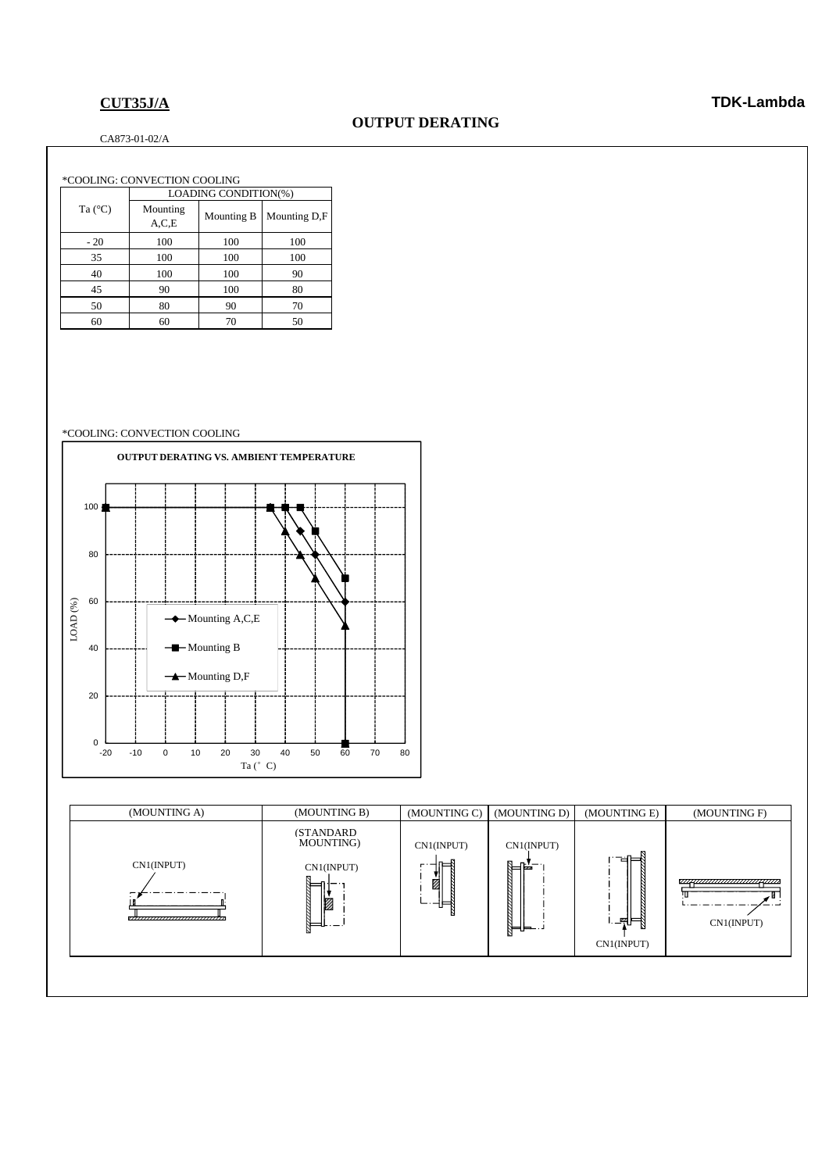### CA873-01-02/A

### \*COOLING: CONVECTION COOLING 100 100 100 100 100 100 90 100 80 90 60 70 LOADING CONDITION(%) 100 35 70 60 70 50 - 20 40 100 100 90 45 90 100 80 50 Ta (°C) Mounting<br>A,C,E Mounting B Mounting D,F 100

### \*COOLING: CONVECTION COOLING





### **CUT35J/A TDK-Lambda**